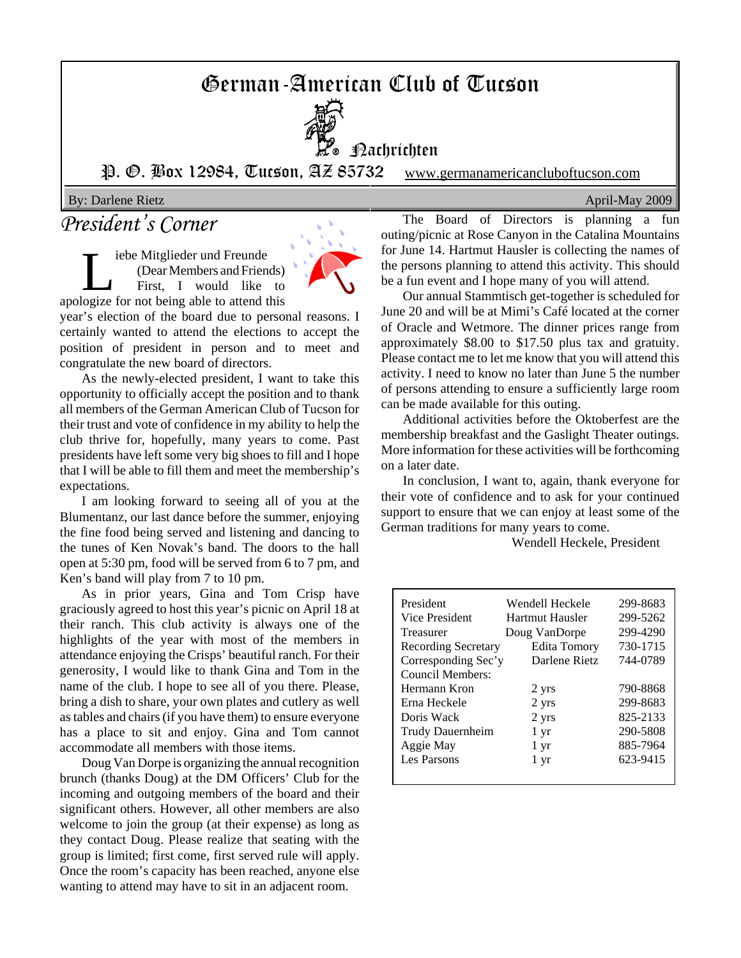# German-American Club of Tucson



**Hachrichten** 

P. O. Box 12984, Tucson, AZ 85732 www.germanamericancluboftucson.com

By: Darlene Rietz April-May 2009

## *President's Corner*

iebe Mitglieder und Freunde (Dear Members and Friends) First, I would like to apologize for not being able to attend this



year's election of the board due to personal reasons. I certainly wanted to attend the elections to accept the position of president in person and to meet and congratulate the new board of directors.

As the newly-elected president, I want to take this opportunity to officially accept the position and to thank all members of the German American Club of Tucson for their trust and vote of confidence in my ability to help the club thrive for, hopefully, many years to come. Past presidents have left some very big shoes to fill and I hope that I will be able to fill them and meet the membership's expectations.

I am looking forward to seeing all of you at the Blumentanz, our last dance before the summer, enjoying the fine food being served and listening and dancing to the tunes of Ken Novak's band. The doors to the hall open at 5:30 pm, food will be served from 6 to 7 pm, and Ken's band will play from 7 to 10 pm.

As in prior years, Gina and Tom Crisp have graciously agreed to host this year's picnic on April 18 at their ranch. This club activity is always one of the highlights of the year with most of the members in attendance enjoying the Crisps' beautiful ranch. For their generosity, I would like to thank Gina and Tom in the name of the club. I hope to see all of you there. Please, bring a dish to share, your own plates and cutlery as well as tables and chairs (if you have them) to ensure everyone has a place to sit and enjoy. Gina and Tom cannot accommodate all members with those items.

Doug Van Dorpe is organizing the annual recognition brunch (thanks Doug) at the DM Officers' Club for the incoming and outgoing members of the board and their significant others. However, all other members are also welcome to join the group (at their expense) as long as they contact Doug. Please realize that seating with the group is limited; first come, first served rule will apply. Once the room's capacity has been reached, anyone else wanting to attend may have to sit in an adjacent room.

The Board of Directors is planning a fun outing/picnic at Rose Canyon in the Catalina Mountains for June 14. Hartmut Hausler is collecting the names of the persons planning to attend this activity. This should be a fun event and I hope many of you will attend.

Our annual Stammtisch get-together is scheduled for June 20 and will be at Mimi's Café located at the corner of Oracle and Wetmore. The dinner prices range from approximately \$8.00 to \$17.50 plus tax and gratuity. Please contact me to let me know that you will attend this activity. I need to know no later than June 5 the number of persons attending to ensure a sufficiently large room can be made available for this outing.

Additional activities before the Oktoberfest are the membership breakfast and the Gaslight Theater outings. More information for these activities will be forthcoming on a later date.

In conclusion, I want to, again, thank everyone for their vote of confidence and to ask for your continued support to ensure that we can enjoy at least some of the German traditions for many years to come.

Wendell Heckele, President

| President                  | Wendell Heckele | 299-8683 |
|----------------------------|-----------------|----------|
| Vice President             | Hartmut Hausler | 299-5262 |
| Treasurer                  | Doug VanDorpe   | 299-4290 |
| <b>Recording Secretary</b> | Edita Tomory    | 730-1715 |
| Corresponding Sec'y        | Darlene Rietz   | 744-0789 |
| Council Members:           |                 |          |
| Hermann Kron               | 2 yrs           | 790-8868 |
| Erna Heckele               | 2 yrs           | 299-8683 |
| Doris Wack                 | 2 yrs           | 825-2133 |
| Trudy Dauernheim           | 1 yr            | 290-5808 |
| Aggie May                  | 1 yr            | 885-7964 |
| Les Parsons                | 1 yr            | 623-9415 |
|                            |                 |          |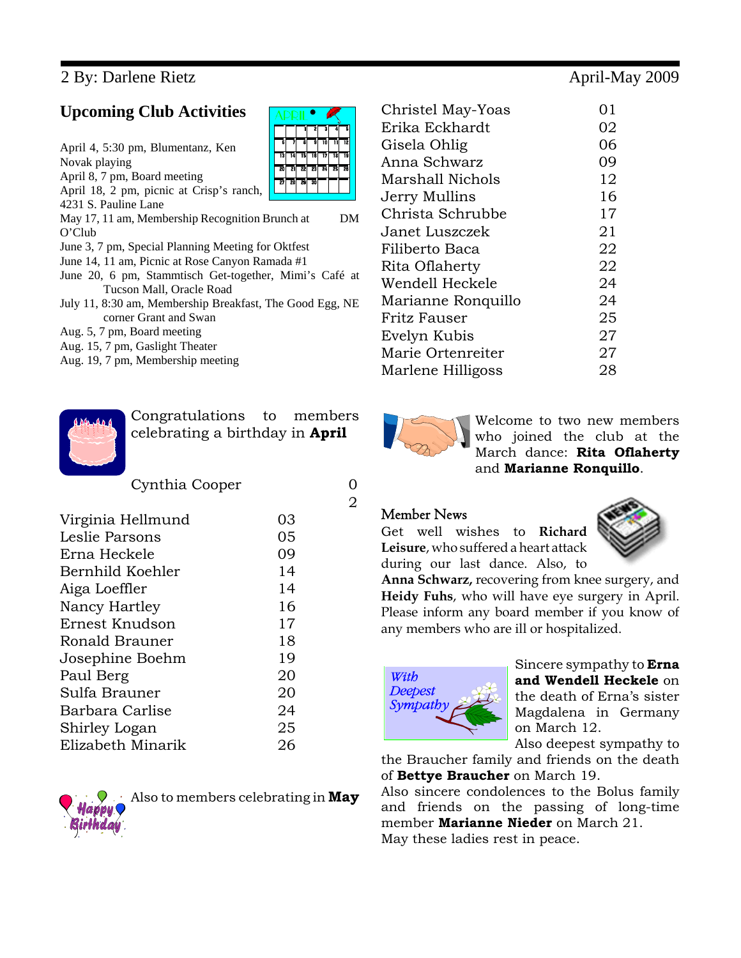### 2 By: Darlene Rietz April-May 2009

### **Upcoming Club Activities**

April 4, 5:30 pm, Blumentanz, Ken Novak playing April 8, 7 pm, Board meeting April 18, 2 pm, picnic at Crisp's ranch, 4231 S. Pauline Lane May 17, 11 am, Membership Recognition Brunch at DM O'Club June 3, 7 pm, Special Planning Meeting for Oktfest June 14, 11 am, Picnic at Rose Canyon Ramada #1 June 20, 6 pm, Stammtisch Get-together, Mimi's Café at Tucson Mall, Oracle Road July 11, 8:30 am, Membership Breakfast, The Good Egg, NE corner Grant and Swan

- Aug. 5, 7 pm, Board meeting
- Aug. 15, 7 pm, Gaslight Theater
- Aug. 19, 7 pm, Membership meeting



Congratulations to members celebrating a birthday in **April**

Cynthia Cooper 0

| Virginia Hellmund | O3 |
|-------------------|----|
| Leslie Parsons    | 05 |
| Erna Heckele      | 09 |
| Bernhild Koehler  | 14 |
| Aiga Loeffler     | 14 |
| Nancy Hartley     | 16 |
| Ernest Knudson    | 17 |
| Ronald Brauner    | 18 |
| Josephine Boehm   | 19 |
| Paul Berg         | 20 |
| Sulfa Brauner     | 20 |
| Barbara Carlise   | 24 |
| Shirley Logan     | 25 |
| Elizabeth Minarik | 26 |
|                   |    |



Also to members celebrating in **May**

| Christel May-Yoas       | 01 |
|-------------------------|----|
| Erika Eckhardt          | 02 |
| Gisela Ohlig            | 06 |
| Anna Schwarz            | 09 |
| <b>Marshall Nichols</b> | 12 |
| Jerry Mullins           | 16 |
| Christa Schrubbe        | 17 |
| Janet Luszczek          | 21 |
| Filiberto Baca          | 22 |
| Rita Oflaherty          | 22 |
| Wendell Heckele         | 24 |
| Marianne Ronquillo      | 24 |
| Fritz Fauser            | 25 |
| Evelyn Kubis            | 27 |
| Marie Ortenreiter       | 27 |
| Marlene Hilligoss       | 28 |



Welcome to two new members who joined the club at the March dance: **Rita Oflaherty** and **Marianne Ronquillo**.

### Member News

2

Get well wishes to **Richard Leisure**, who suffered a heart attack during our last dance. Also, to



**Anna Schwarz,** recovering from knee surgery, and **Heidy Fuhs**, who will have eye surgery in April. Please inform any board member if you know of any members who are ill or hospitalized.

| Sympathy |
|----------|
|----------|

Sincere sympathy to **Erna and Wendell Heckele** on the death of Erna's sister Magdalena in Germany on March 12.

Also deepest sympathy to

the Braucher family and friends on the death of **Bettye Braucher** on March 19.

Also sincere condolences to the Bolus family and friends on the passing of long-time member **Marianne Nieder** on March 21. May these ladies rest in peace.